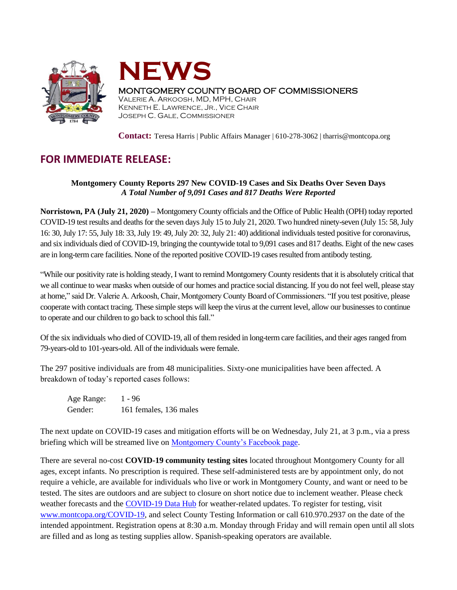



## MONTGOMERY COUNTY BOARD OF COMMISSIONERS

VALERIE A. ARKOOSH, MD, MPH, CHAIR KENNETH E. LAWRENCE, JR., VICE CHAIR JOSEPH C. GALE, COMMISSIONER

**Contact:** Teresa Harris | Public Affairs Manager | 610-278-3062 | tharris@montcopa.org

## **FOR IMMEDIATE RELEASE:**

## **Montgomery County Reports 297 New COVID-19 Cases and Six Deaths Over Seven Days** *A Total Number of 9,091 Cases and 817 Deaths Were Reported*

**Norristown, PA (July 21, 2020) –** Montgomery County officials and the Office of Public Health (OPH) today reported COVID-19 test results and deaths for the seven daysJuly 15 to July 21, 2020. Two hundred ninety-seven (July 15: 58, July 16: 30, July 17: 55, July 18: 33, July 19: 49, July 20: 32, July 21: 40) additional individuals tested positive for coronavirus, and six individuals died of COVID-19, bringing the countywide total to 9,091 cases and 817 deaths. Eight of the new cases are in long-term care facilities. None of the reported positive COVID-19 cases resulted from antibody testing.

"While our positivity rate is holding steady, I want to remind Montgomery County residents that it is absolutely critical that we all continue to wear masks when outside of our homes and practice social distancing. If you do not feel well, please stay at home," said Dr. Valerie A. Arkoosh, Chair, Montgomery County Board of Commissioners. "If you test positive, please cooperate with contact tracing. These simple steps will keep the virus at the current level, allow our businesses to continue to operate and our children to go back to school this fall."

Of the six individuals who died of COVID-19, all of them resided in long-term care facilities, and their ages ranged from 79-years-old to 101-years-old. All of the individuals were female.

The 297 positive individuals are from 48 municipalities. Sixty-one municipalities have been affected. A breakdown of today's reported cases follows:

Age Range: 1 - 96 Gender: 161 females, 136 males

The next update on COVID-19 cases and mitigation efforts will be on Wednesday, July 21, at 3 p.m., via a press briefing which will be streamed live on [Montgomery County's Facebook page.](https://www.facebook.com/montgomery.county.pa/)

There are several no-cost **COVID-19 community testing sites** located throughout Montgomery County for all ages, except infants. No prescription is required. These self-administered tests are by appointment only, do not require a vehicle, are available for individuals who live or work in Montgomery County, and want or need to be tested. The sites are outdoors and are subject to closure on short notice due to inclement weather. Please check weather forecasts and the [COVID-19 Data Hub](https://data-montcopa.opendata.arcgis.com/pages/covid-19) for weather-related updates. To register for testing, visit [www.montcopa.org/COVID-19,](http://www.montcopa.org/COVID-19) and select County Testing Information or call 610.970.2937 on the date of the intended appointment. Registration opens at 8:30 a.m. Monday through Friday and will remain open until all slots are filled and as long as testing supplies allow. Spanish-speaking operators are available.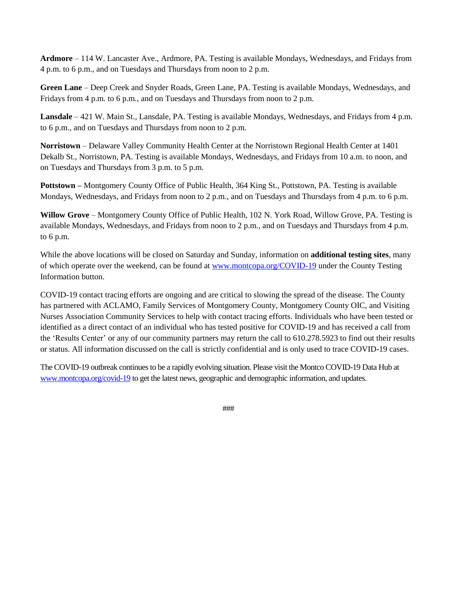**Ardmore** – 114 W. Lancaster Ave., Ardmore, PA. Testing is available Mondays, Wednesdays, and Fridays from 4 p.m. to 6 p.m., and on Tuesdays and Thursdays from noon to 2 p.m.

**Green Lane** – Deep Creek and Snyder Roads, Green Lane, PA. Testing is available Mondays, Wednesdays, and Fridays from 4 p.m. to 6 p.m., and on Tuesdays and Thursdays from noon to 2 p.m.

**Lansdale** – 421 W. Main St., Lansdale, PA. Testing is available Mondays, Wednesdays, and Fridays from 4 p.m. to 6 p.m., and on Tuesdays and Thursdays from noon to 2 p.m.

**Norristown** – Delaware Valley Community Health Center at the Norristown Regional Health Center at 1401 Dekalb St., Norristown, PA. Testing is available Mondays, Wednesdays, and Fridays from 10 a.m. to noon, and on Tuesdays and Thursdays from 3 p.m. to 5 p.m.

**Pottstown –** Montgomery County Office of Public Health, 364 King St., Pottstown, PA. Testing is available Mondays, Wednesdays, and Fridays from noon to 2 p.m., and on Tuesdays and Thursdays from 4 p.m. to 6 p.m.

**Willow Grove** – Montgomery County Office of Public Health, 102 N. York Road, Willow Grove, PA. Testing is available Mondays, Wednesdays, and Fridays from noon to 2 p.m., and on Tuesdays and Thursdays from 4 p.m. to 6 p.m.

While the above locations will be closed on Saturday and Sunday, information on **additional testing sites**, many of which operate over the weekend, can be found at [www.montcopa.org/COVID-19](http://www.montcopa.org/COVID-19) under the County Testing Information button.

COVID-19 contact tracing efforts are ongoing and are critical to slowing the spread of the disease. The County has partnered with ACLAMO, Family Services of Montgomery County, Montgomery County OIC, and Visiting Nurses Association Community Services to help with contact tracing efforts. Individuals who have been tested or identified as a direct contact of an individual who has tested positive for COVID-19 and has received a call from the 'Results Center' or any of our community partners may return the call to 610.278.5923 to find out their results or status. All information discussed on the call is strictly confidential and is only used to trace COVID-19 cases.

The COVID-19 outbreak continues to be a rapidly evolving situation. Please visit the Montco COVID-19 Data Hub at [www.montcopa.org/covid-19](http://www.montcopa.org/covid-19) to get the latest news, geographic and demographic information, and updates.

###